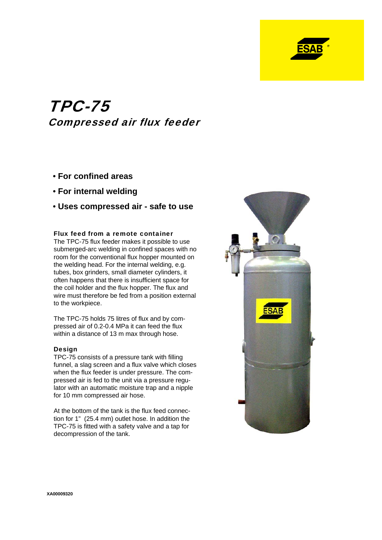

# TPC-75 Compressed air flux feeder

- **For confined areas**
- **For internal welding**
- **Uses compressed air safe to use**

#### Flux feed from a remote container

The TPC-75 flux feeder makes it possible to use submerged-arc welding in confined spaces with no room for the conventional flux hopper mounted on the welding head. For the internal welding, e.g. tubes, box grinders, small diameter cylinders, it often happens that there is insufficient space for the coil holder and the flux hopper. The flux and wire must therefore be fed from a position external to the workpiece.

The TPC-75 holds 75 litres of flux and by compressed air of 0.2-0.4 MPa it can feed the flux within a distance of 13 m max through hose.

#### Design

TPC-75 consists of a pressure tank with filling funnel, a slag screen and a flux valve which closes when the flux feeder is under pressure. The compressed air is fed to the unit via a pressure regulator with an automatic moisture trap and a nipple for 10 mm compressed air hose.

At the bottom of the tank is the flux feed connection for 1" (25.4 mm) outlet hose. In addition the TPC-75 is fitted with a safety valve and a tap for decompression of the tank.